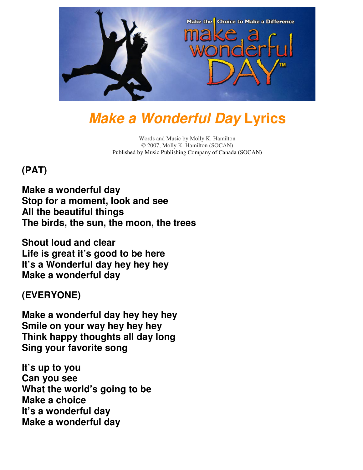

# **Make a Wonderful Day Lyrics**

Words and Music by Molly K. Hamilton © 2007, Molly K. Hamilton (SOCAN) Published by Music Publishing Company of Canada (SOCAN)

## **(PAT)**

**Make a wonderful day Stop for a moment, look and see All the beautiful things The birds, the sun, the moon, the trees**

**Shout loud and clear Life is great it's good to be here It's a Wonderful day hey hey hey Make a wonderful day**

**(EVERYONE)** 

**Make a wonderful day hey hey hey Smile on your way hey hey hey Think happy thoughts all day long Sing your favorite song**

**It's up to you Can you see What the world's going to be Make a choice It's a wonderful day Make a wonderful day**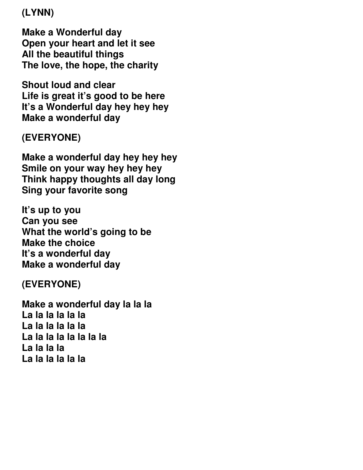**(LYNN)** 

**Make a Wonderful day Open your heart and let it see All the beautiful things The love, the hope, the charity**

**Shout loud and clear Life is great it's good to be here It's a Wonderful day hey hey hey Make a wonderful day**

### **(EVERYONE)**

**Make a wonderful day hey hey hey Smile on your way hey hey hey Think happy thoughts all day long Sing your favorite song**

**It's up to you Can you see What the world's going to be Make the choice It's a wonderful day Make a wonderful day** 

**(EVERYONE)** 

**Make a wonderful day la la la La la la la la la La la la la la la La la la la la la la la La la la la La la la la la la**